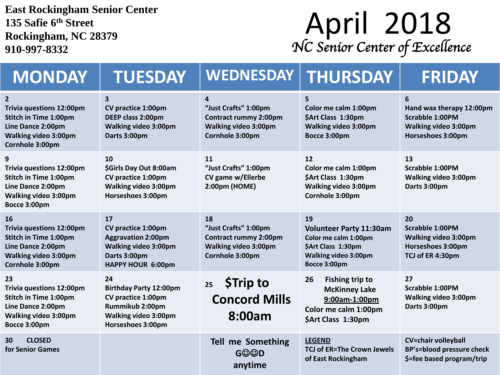**East Rockingham Senior Center 135 Safie 6 th Street Rockingham, NC 28379 910-997-8332**

## **April 2018** *NC Senior Center of Excellence*

| <b>MONDAY</b>                                                                                                                                            | <b>TUESDAY</b>                                                                                                                   | <b>WEDNESDAY</b>                                                                                             | <b>THURSDAY</b>                                                                                                                   | <b>FRIDAY</b>                                                                                               |
|----------------------------------------------------------------------------------------------------------------------------------------------------------|----------------------------------------------------------------------------------------------------------------------------------|--------------------------------------------------------------------------------------------------------------|-----------------------------------------------------------------------------------------------------------------------------------|-------------------------------------------------------------------------------------------------------------|
| $\overline{2}$<br><b>Trivia questions 12:00pm</b><br><b>Stitch in Time 1:00pm</b><br>Line Dance 2:00pm<br><b>Walking video 3:00pm</b><br>Cornhole 3:00pm | 3<br><b>CV practice 1:00pm</b><br>DEEP class 2:00pm<br>Walking video 3:00pm<br>Darts 3:00pm                                      | 4<br>"Just Crafts" 1:00pm<br><b>Contract rummy 2:00pm</b><br><b>Walking video 3:00pm</b><br>Cornhole 3:00pm  | 5<br>Color me calm 1:00pm<br>\$Art Class 1:30pm<br><b>Walking video 3:00pm</b><br>Bocce 3:00pm                                    | 6<br>Hand wax therapy 12:00pm<br><b>Scrabble 1:00PM</b><br><b>Walking video 3:00pm</b><br>Horseshoes 3:00pm |
| 9<br><b>Trivia questions 12:00pm</b><br>Stitch in Time 1:00pm<br>Line Dance 2:00pm<br><b>Walking video 3:00pm</b><br>Bocce 3:00pm                        | 10<br>\$Girls Day Out 8:00am<br>CV practice 1:00pm<br>Walking video 3:00pm<br>Horseshoes 3:00pm                                  | 11<br>"Just Crafts" 1:00pm<br>CV game w/Ellerbe<br>2:00pm (HOME)                                             | 12<br>Color me calm 1:00pm<br>\$Art Class 1:30pm<br>Walking video 3:00pm<br>Cornhole 3:00pm                                       | 13<br><b>Scrabble 1:00PM</b><br><b>Walking video 3:00pm</b><br>Darts 3:00pm                                 |
| 16<br><b>Trivia questions 12:00pm</b><br><b>Stitch in Time 1:00pm</b><br>Line Dance 2:00pm<br><b>Walking video 3:00pm</b><br>Cornhole 3:00pm             | 17<br>CV practice 1:00pm<br><b>Aggravation 2:00pm</b><br><b>Walking video 3:00pm</b><br>Darts 3:00pm<br>HAPPY HOUR 6:00pm        | 18<br>"Just Crafts" 1:00pm<br><b>Contract rummy 2:00pm</b><br><b>Walking video 3:00pm</b><br>Cornhole 3:00pm | 19<br><b>Volunteer Party 11:30am</b><br>Color me calm 1:00pm<br>\$Art Class 1:30pm<br><b>Walking video 3:00pm</b><br>Bocce 3:00pm | 20<br><b>Scrabble 1:00PM</b><br><b>Walking video 3:00pm</b><br>Horseshoes 3:00pm<br>TCJ of ER 4:30pm        |
| 23<br><b>Trivia questions 12:00pm</b><br><b>Stitch in Time 1:00pm</b><br>Line Dance 2:00pm<br><b>Walking video 3:00pm</b><br>Bocce 3:00pm                | 24<br><b>Birthday Party 12:00pm</b><br>CV practice 1:00pm<br>Rummikub 2:00pm<br><b>Walking video 3:00pm</b><br>Horseshoes 3:00pm | <b>STrip to</b><br>25<br><b>Concord Mills</b><br>8:00am                                                      | <b>Fishing trip to</b><br>26<br><b>McKinney Lake</b><br>9:00am-1:00pm<br>Color me calm 1:00pm<br>\$Art Class 1:30pm               | 27<br><b>Scrabble 1:00PM</b><br><b>Walking video 3:00pm</b><br>Darts 3:00pm                                 |
| 30<br><b>CLOSED</b><br>for Senior Games                                                                                                                  |                                                                                                                                  | Tell me Something<br><b>G©©D</b><br>anytime                                                                  | <b>LEGEND</b><br><b>TCJ of ER=The Crown Jewels</b><br>of East Rockingham                                                          | <b>CV=chair volleyball</b><br><b>BP's=blood pressure check</b><br>\$=fee based program/trip                 |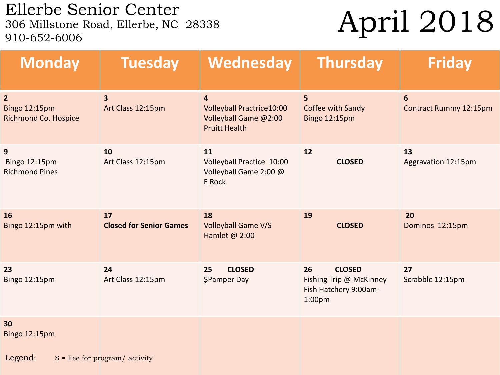Ellerbe Senior Center<br>306 Millstone Road, Ellerbe, NC 28338 910-652-6006

## April 2018

| <b>Monday</b>                                                  | <b>Tuesday</b>                               | Wednesday                                                                                           | <b>Thursday</b>                                                                               | <b>Friday</b>                            |  |  |
|----------------------------------------------------------------|----------------------------------------------|-----------------------------------------------------------------------------------------------------|-----------------------------------------------------------------------------------------------|------------------------------------------|--|--|
| $\overline{2}$<br>Bingo 12:15pm<br><b>Richmond Co. Hospice</b> | $\overline{\mathbf{3}}$<br>Art Class 12:15pm | $\overline{4}$<br><b>Volleyball Practrice10:00</b><br>Volleyball Game @2:00<br><b>Pruitt Health</b> | $5\overline{)}$<br>Coffee with Sandy<br>Bingo 12:15pm                                         | $6\phantom{1}$<br>Contract Rummy 12:15pm |  |  |
| 9<br><b>Bingo 12:15pm</b><br><b>Richmond Pines</b>             | 10<br>Art Class 12:15pm                      | 11<br>Volleyball Practice 10:00<br>Volleyball Game 2:00 @<br>E Rock                                 | 12<br><b>CLOSED</b>                                                                           | 13<br>Aggravation 12:15pm                |  |  |
| 16<br>Bingo 12:15pm with                                       | 17<br><b>Closed for Senior Games</b>         | 18<br><b>Volleyball Game V/S</b><br>Hamlet @ 2:00                                                   | 19<br><b>CLOSED</b>                                                                           | 20<br>Dominos 12:15pm                    |  |  |
| 23<br>Bingo 12:15pm                                            | 24<br>Art Class 12:15pm                      | <b>CLOSED</b><br>25<br>\$Pamper Day                                                                 | 26<br><b>CLOSED</b><br>Fishing Trip @ McKinney<br>Fish Hatchery 9:00am-<br>1:00 <sub>pm</sub> | 27<br>Scrabble 12:15pm                   |  |  |
| 30<br>Bingo 12:15pm                                            |                                              |                                                                                                     |                                                                                               |                                          |  |  |
| Legend:<br>$$ =$ Fee for program/ activity                     |                                              |                                                                                                     |                                                                                               |                                          |  |  |